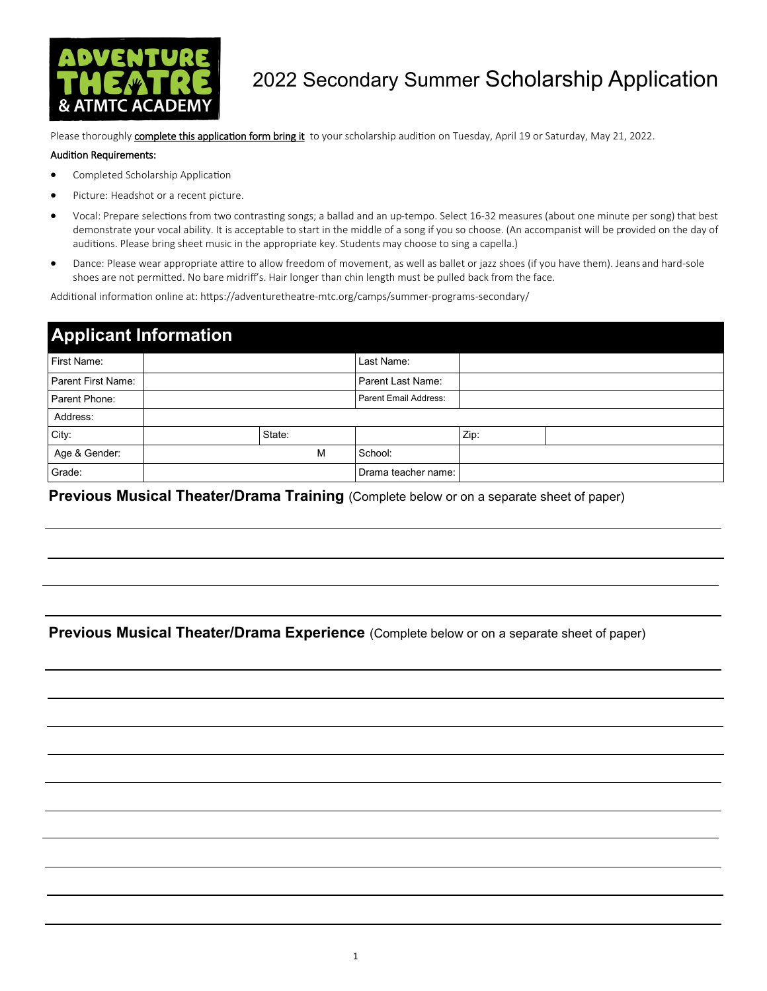

## 2022 Secondary Summer Scholarship Application

Please thoroughly **complete this application form bring it** to your scholarship audition on Tuesday, April 19 or Saturday, May 21, 2022.

#### Audition Requirements:

- Completed Scholarship Application
- Picture: Headshot or a recent picture.
- Vocal: Prepare selections from two contrasting songs; a ballad and an up-tempo. Select 16-32 measures (about one minute per song) that best demonstrate your vocal ability. It is acceptable to start in the middle of a song if you so choose. (An accompanist will be provided on the day of auditions. Please bring sheet music in the appropriate key. Students may choose to sing a capella.)
- Dance: Please wear appropriate attire to allow freedom of movement, as well as ballet or jazz shoes (if you have them). Jeans and hard-sole shoes are not permitted. No bare midriff's. Hair longer than chin length must be pulled back from the face.

Additional information online at: https://adventuretheatre-mtc.org/camps/summer-programs-secondary/

| <b>Applicant Information</b> |  |        |                       |      |  |  |
|------------------------------|--|--------|-----------------------|------|--|--|
| First Name:                  |  |        | Last Name:            |      |  |  |
| Parent First Name:           |  |        | Parent Last Name:     |      |  |  |
| Parent Phone:                |  |        | Parent Email Address: |      |  |  |
| Address:                     |  |        |                       |      |  |  |
| City:                        |  | State: |                       | Zip: |  |  |
| Age & Gender:                |  | M      | School:               |      |  |  |
| Grade:                       |  |        | Drama teacher name:   |      |  |  |

**Previous Musical Theater/Drama Training** (Complete below or on a separate sheet of paper)

### **Previous Musical Theater/Drama Experience** (Complete below or on a separate sheet of paper)